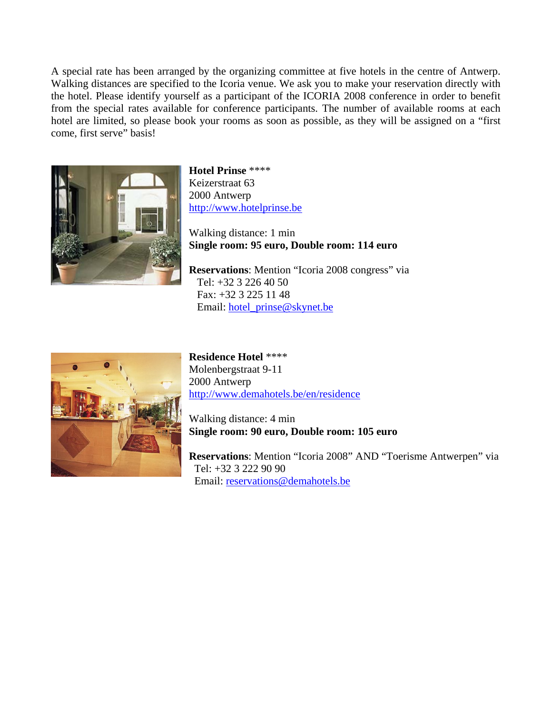A special rate has been arranged by the organizing committee at five hotels in the centre of Antwerp. Walking distances are specified to the Icoria venue. We ask you to make your reservation directly with the hotel. Please identify yourself as a participant of the ICORIA 2008 conference in order to benefit from the special rates available for conference participants. The number of available rooms at each hotel are limited, so please book your rooms as soon as possible, as they will be assigned on a "first come, first serve" basis!



**Hotel Prinse** \*\*\*\* Keizerstraat 63 2000 Antwerp [http://www.hotelprinse.be](http://www.hotelprinse.be/)

Walking distance: 1 min **Single room: 95 euro, Double room: 114 euro** 

**Reservations**: Mention "Icoria 2008 congress" via Tel: +32 3 226 40 50 Fax: +32 3 225 11 48 Email: [hotel\\_prinse@skynet.be](mailto:hotel_prinse@skynet.be)



**Residence Hotel** \*\*\*\* Molenbergstraat 9-11 2000 Antwerp <http://www.demahotels.be/en/residence>

Walking distance: 4 min **Single room: 90 euro, Double room: 105 euro** 

**Reservations**: Mention "Icoria 2008" AND "Toerisme Antwerpen" via Tel: +32 3 222 90 90 Email: [reservations@demahotels.be](mailto:reservations@demahotels.be)